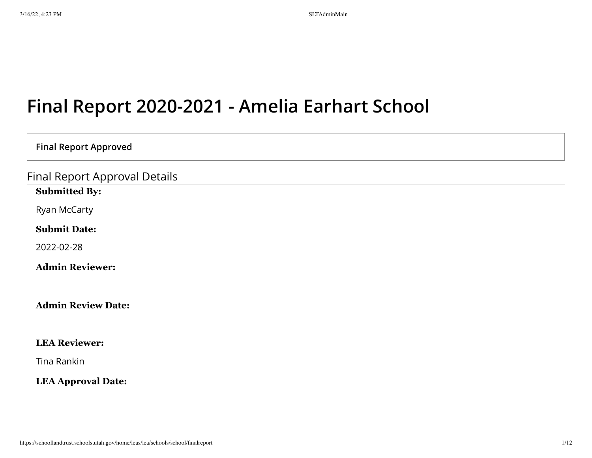# **Final Report 2020-2021 - Amelia Earhart School**

## **Final Report Approved**

Final Report Approval Details

## **Submitted By:**

Ryan McCarty

**Submit Date:**

2022-02-28

**Admin Reviewer:**

## **Admin Review Date:**

## **LEA Reviewer:**

Tina Rankin

## **LEA Approval Date:**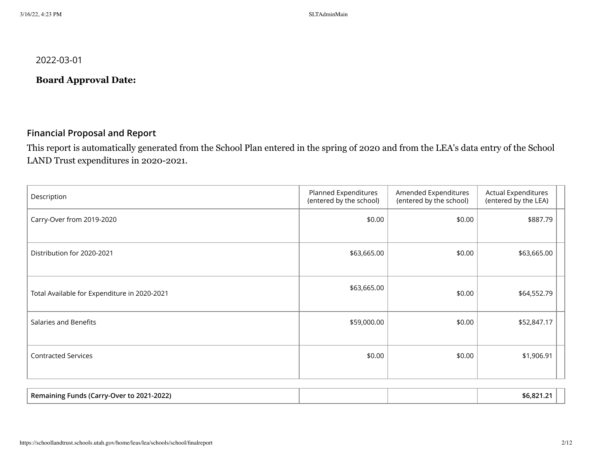2022-03-01

# **Board Approval Date:**

## **Financial Proposal and Report**

This report is automatically generated from the School Plan entered in the spring of 2020 and from the LEA's data entry of the School LAND Trust expenditures in 2020-2021.

| Description                                  | Planned Expenditures<br>(entered by the school) | Amended Expenditures<br>(entered by the school) | <b>Actual Expenditures</b><br>(entered by the LEA) |  |
|----------------------------------------------|-------------------------------------------------|-------------------------------------------------|----------------------------------------------------|--|
| Carry-Over from 2019-2020                    | \$0.00                                          | \$0.00                                          | \$887.79                                           |  |
| Distribution for 2020-2021                   | \$63,665.00                                     | \$0.00                                          | \$63,665.00                                        |  |
| Total Available for Expenditure in 2020-2021 | \$63,665.00                                     | \$0.00                                          | \$64,552.79                                        |  |
| Salaries and Benefits                        | \$59,000.00                                     | \$0.00                                          | \$52,847.17                                        |  |
| <b>Contracted Services</b>                   | \$0.00                                          | \$0.00                                          | \$1,906.91                                         |  |

| Remaining Funds (Carry-Over to 2021-2022) |  | ാ -<br>ື່∿h.ດ∠. |  |
|-------------------------------------------|--|-----------------|--|
|                                           |  |                 |  |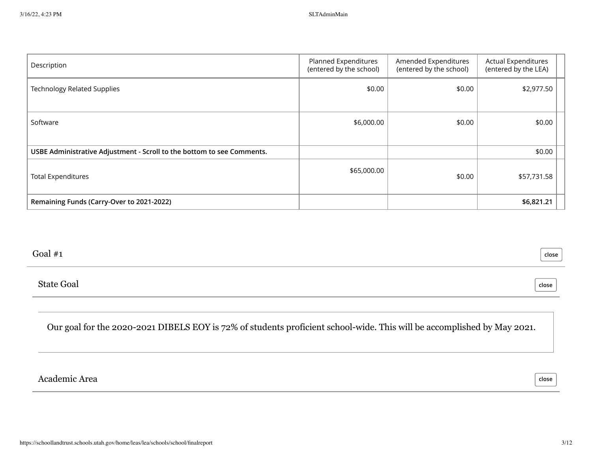| Description                                                            | Planned Expenditures<br>(entered by the school) | Amended Expenditures<br>(entered by the school) | <b>Actual Expenditures</b><br>(entered by the LEA) |  |
|------------------------------------------------------------------------|-------------------------------------------------|-------------------------------------------------|----------------------------------------------------|--|
| <b>Technology Related Supplies</b>                                     | \$0.00                                          | \$0.00                                          | \$2,977.50                                         |  |
|                                                                        |                                                 |                                                 |                                                    |  |
| Software                                                               | \$6,000.00                                      | \$0.00                                          | \$0.00                                             |  |
| USBE Administrative Adjustment - Scroll to the bottom to see Comments. |                                                 |                                                 | \$0.00                                             |  |
| <b>Total Expenditures</b>                                              | \$65,000.00                                     | \$0.00                                          | \$57,731.58                                        |  |
| Remaining Funds (Carry-Over to 2021-2022)                              |                                                 |                                                 | \$6,821.21                                         |  |

## Goal #1

State Goal

**close**

**close**

Our goal for the 2020-2021 DIBELS EOY is 72% of students proficient school-wide. This will be accomplished by May 2021.

Academic Area

**close**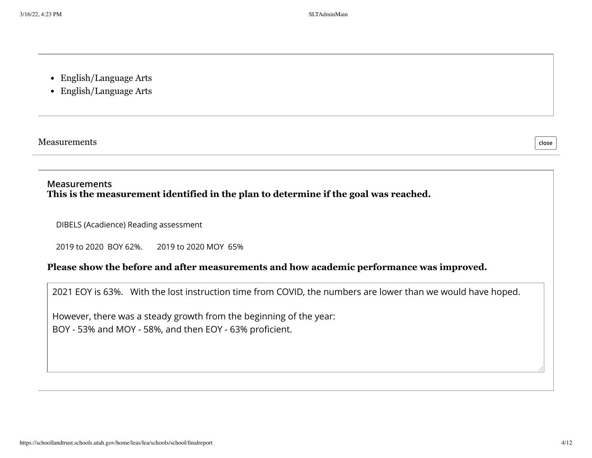- English/Language Arts
- English/Language Arts

Measurements

**close**

# **Measurements This is the measurement identified in the plan to determine if the goal was reached.**

DIBELS (Acadience) Reading assessment

2019 to 2020 BOY 62%. 2019 to 2020 MOY 65%

# **Please show the before and after measurements and how academic performance was improved.**

2021 EOY is 63%. With the lost instruction time from COVID, the numbers are lower than we would have hoped.

However, there was a steady growth from the beginning of the year: BOY - 53% and MOY - 58%, and then EOY - 63% proficient.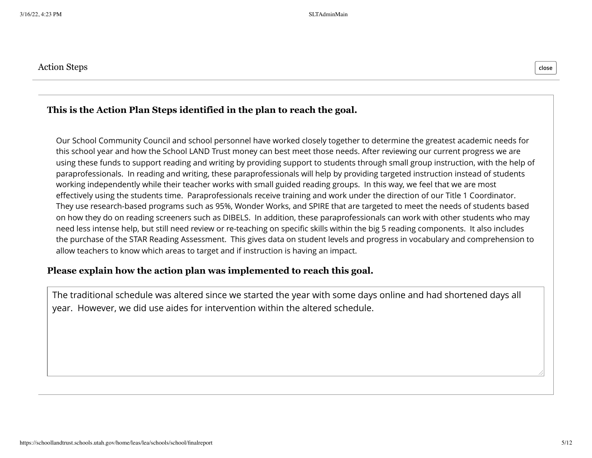# **This is the Action Plan Steps identified in the plan to reach the goal.**

Our School Community Council and school personnel have worked closely together to determine the greatest academic needs for this school year and how the School LAND Trust money can best meet those needs. After reviewing our current progress we are using these funds to support reading and writing by providing support to students through small group instruction, with the help of paraprofessionals. In reading and writing, these paraprofessionals will help by providing targeted instruction instead of students working independently while their teacher works with small guided reading groups. In this way, we feel that we are most effectively using the students time. Paraprofessionals receive training and work under the direction of our Title 1 Coordinator. They use research-based programs such as 95%, Wonder Works, and SPIRE that are targeted to meet the needs of students based on how they do on reading screeners such as DIBELS. In addition, these paraprofessionals can work with other students who may need less intense help, but still need review or re-teaching on specific skills within the big 5 reading components. It also includes the purchase of the STAR Reading Assessment. This gives data on student levels and progress in vocabulary and comprehension to allow teachers to know which areas to target and if instruction is having an impact.

## **Please explain how the action plan was implemented to reach this goal.**

The traditional schedule was altered since we started the year with some days online and had shortened days all year. However, we did use aides for intervention within the altered schedule.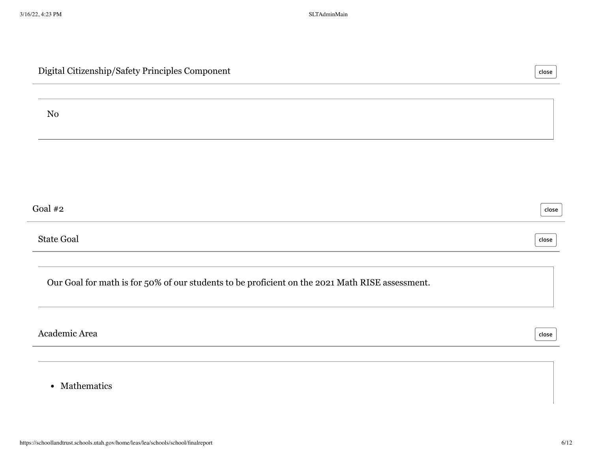| Digital Citizenship/Safety Principles Component                                                 | close |
|-------------------------------------------------------------------------------------------------|-------|
| No                                                                                              |       |
|                                                                                                 |       |
| Goal $#2$                                                                                       | close |
| <b>State Goal</b>                                                                               | close |
| Our Goal for math is for 50% of our students to be proficient on the 2021 Math RISE assessment. |       |
| Academic Area                                                                                   | close |
|                                                                                                 |       |

• Mathematics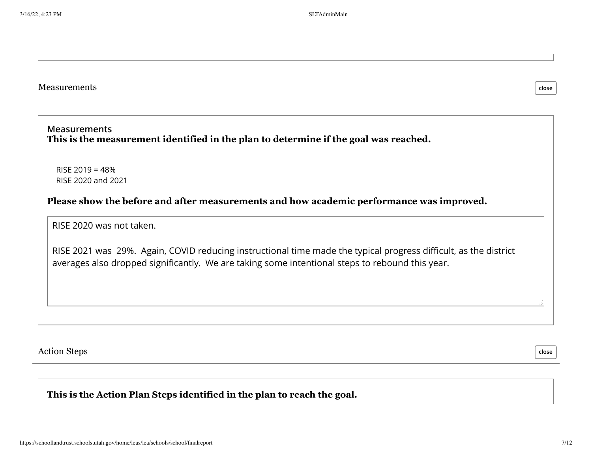**close**

#### Measurements

#### **Measurements This is the measurement identified in the plan to determine if the goal was reached.**

RISE 2019 = 48% RISE 2020 and 2021

## **Please show the before and after measurements and how academic performance was improved.**

RISE 2020 was not taken.

RISE 2021 was 29%. Again, COVID reducing instructional time made the typical progress difficult, as the district averages also dropped significantly. We are taking some intentional steps to rebound this year.

Action Steps

**close**

## **This is the Action Plan Steps identified in the plan to reach the goal.**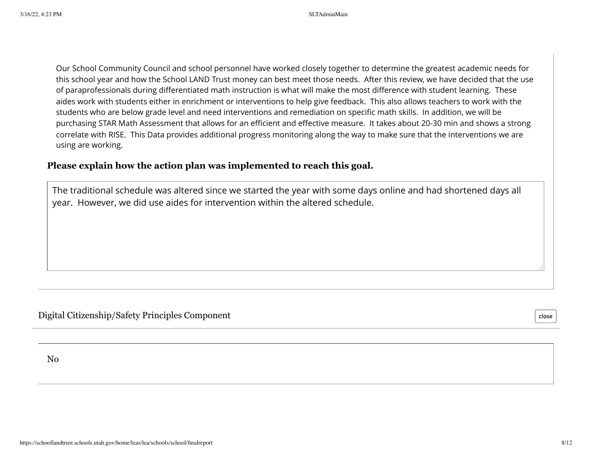Our School Community Council and school personnel have worked closely together to determine the greatest academic needs for this school year and how the School LAND Trust money can best meet those needs. After this review, we have decided that the use of paraprofessionals during differentiated math instruction is what will make the most difference with student learning. These aides work with students either in enrichment or interventions to help give feedback. This also allows teachers to work with the students who are below grade level and need interventions and remediation on specific math skills. In addition, we will be purchasing STAR Math Assessment that allows for an efficient and effective measure. It takes about 20-30 min and shows a strong correlate with RISE. This Data provides additional progress monitoring along the way to make sure that the interventions we are using are working.

## **Please explain how the action plan was implemented to reach this goal.**

The traditional schedule was altered since we started the year with some days online and had shortened days all year. However, we did use aides for intervention within the altered schedule.

Digital Citizenship/Safety Principles Component

**close**

No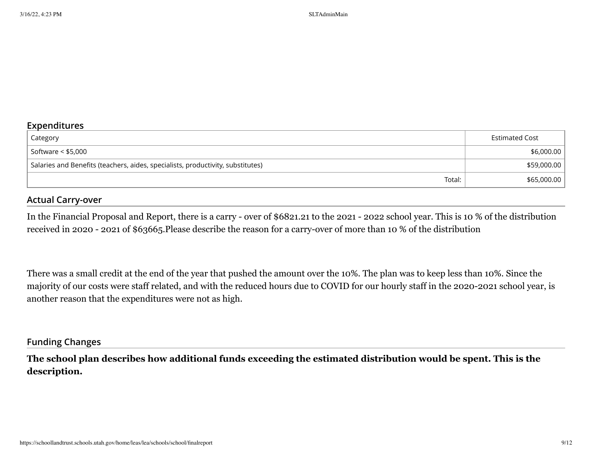## **Expenditures**

| Category                                                                        | Estimated Cost |
|---------------------------------------------------------------------------------|----------------|
| Software < \$5,000                                                              | \$6,000.00     |
| Salaries and Benefits (teachers, aides, specialists, productivity, substitutes) | \$59,000.00    |
| Total:                                                                          | \$65,000.00    |

## **Actual Carry-over**

In the Financial Proposal and Report, there is a carry - over of \$6821.21 to the 2021 - 2022 school year. This is 10 % of the distribution received in 2020 - 2021 of \$63665.Please describe the reason for a carry-over of more than 10 % of the distribution

There was a small credit at the end of the year that pushed the amount over the 10%. The plan was to keep less than 10%. Since the majority of our costs were staff related, and with the reduced hours due to COVID for our hourly staff in the 2020-2021 school year, is another reason that the expenditures were not as high.

#### **Funding Changes**

**The school plan describes how additional funds exceeding the estimated distribution would be spent. This is the description.**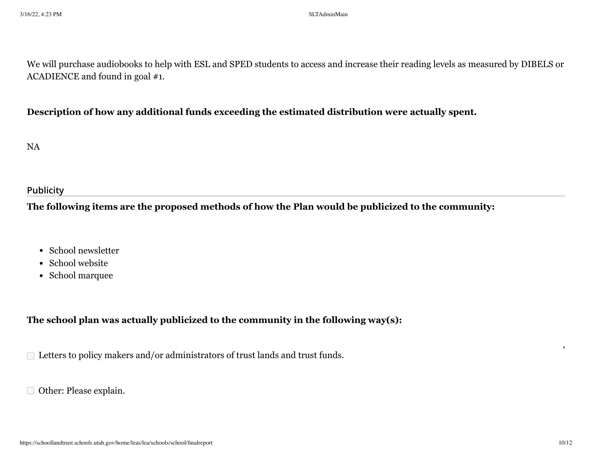We will purchase audiobooks to help with ESL and SPED students to access and increase their reading levels as measured by DIBELS or ACADIENCE and found in goal #1.

## **Description of how any additional funds exceeding the estimated distribution were actually spent.**

NA

## **Publicity**

**The following items are the proposed methods of how the Plan would be publicized to the community:**

- School newsletter
- School website
- School marquee

# **The school plan was actually publicized to the community in the following way(s):**

□ Letters to policy makers and/or administrators of trust lands and trust funds.

Other: Please explain.

'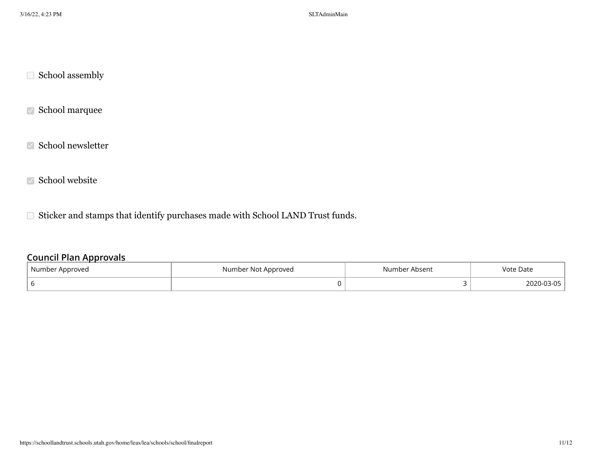$\hfill\Box$  School assembly

School marquee

 $\sqrt{ }$  School newsletter

 $\sqrt{ }$  School website

Sticker and stamps that identify purchases made with School LAND Trust funds.

## **Council Plan Approvals**

| Number Approved | Number Not Approved | Number Absent | Vote Date |
|-----------------|---------------------|---------------|-----------|
|                 |                     |               |           |